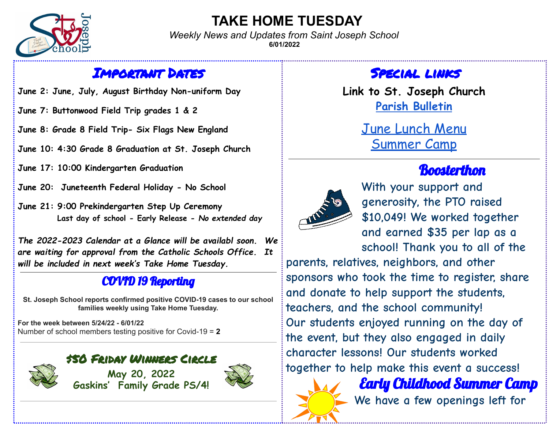

## **TAKE HOME TUESDAY**

*Weekly News and Updates from Saint Joseph School* **6/01/2022**

#### Important Dates

**June 2: June, July, August Birthday Non-uniform Day**

**June 7: Buttonwood Field Trip grades 1 & 2**

**June 8: Grade 8 Field Trip- Six Flags New England**

**June 10: 4:30 Grade 8 Graduation at St. Joseph Church**

**June 17: 10:00 Kindergarten Graduation**

**June 20: Juneteenth Federal Holiday - No School**

**June 21: 9:00 Prekindergarten Step Up Ceremony Last day of school - Early Release -** *No extended day*

*The 2022-2023 Calendar at a Glance will be availabl soon. We are waiting for approval from the Catholic Schools Office. It will be included in next week's Take Home Tuesday.*

#### COVID 19 Reporting

**St. Joseph School reports confirmed positive COVID-19 cases to our school families weekly using Take Home Tuesday.**

**For the week between 5/24/22 - 6/01/22** Number of school members testing positive for Covid-19 = **2**



**May 20, 2022 Gaskins' Family Grade PS/4!**



#### Special links

**Link to St. Joseph Church Parish [Bulletin](http://stjosephparishfairhaven.weebly.com/bulletin.html)**

> June [Lunch](https://fairhavenps.nutrislice.com/menu/st-joes/lunch/2022-06-01) Menu [Summer](https://docs.google.com/document/d/1HWhO-obEnF5fsBXXk6_neLl7HjLEEFFlaXYFiTvVePE/edit) Camp

# **Boosterthon**



**With your support and generosity, the PTO raised \$10,049! We worked together and earned \$35 per lap as a school! Thank you to all of the**

**parents, relatives, neighbors, and other sponsors who took the time to register, share and donate to help support the students, teachers, and the school community! Our students enjoyed running on the day of the event, but they also engaged in daily character lessons! Our students worked together to help make this event a success!**



Early Childhood Summer Camp **We have a few openings left for**